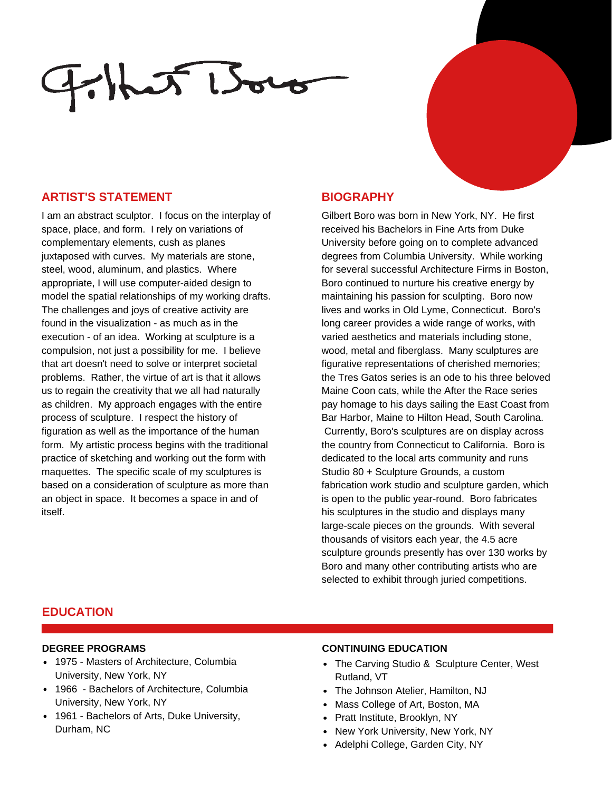# $F$ het Boro

### **ARTIST'S STATEMENT BIOGRAPHY**

I am an abstract sculptor. I focus on the interplay of space, place, and form. I rely on variations of complementary elements, cush as planes juxtaposed with curves. My materials are stone, steel, wood, aluminum, and plastics. Where appropriate, I will use computer-aided design to model the spatial relationships of my working drafts. The challenges and joys of creative activity are found in the visualization - as much as in the execution - of an idea. Working at sculpture is a compulsion, not just a possibility for me. I believe that art doesn't need to solve or interpret societal problems. Rather, the virtue of art is that it allows us to regain the creativity that we all had naturally as children. My approach engages with the entire process of sculpture. I respect the history of figuration as well as the importance of the human form. My artistic process begins with the traditional practice of sketching and working out the form with maquettes. The specific scale of my sculptures is based on a consideration of sculpture as more than an object in space. It becomes a space in and of itself.

Gilbert Boro was born in New York, NY. He first received his Bachelors in Fine Arts from Duke University before going on to complete advanced degrees from Columbia University. While working for several successful Architecture Firms in Boston, Boro continued to nurture his creative energy by maintaining his passion for sculpting. Boro now lives and works in Old Lyme, Connecticut. Boro's long career provides a wide range of works, with varied aesthetics and materials including stone, wood, metal and fiberglass. Many sculptures are figurative representations of cherished memories; the Tres Gatos series is an ode to his three beloved Maine Coon cats, while the After the Race series pay homage to his days sailing the East Coast from Bar Harbor, Maine to Hilton Head, South Carolina. Currently, Boro's sculptures are on display across the country from Connecticut to California. Boro is dedicated to the local arts community and runs Studio 80 + Sculpture Grounds, a custom fabrication work studio and sculpture garden, which is open to the public year-round. Boro fabricates his sculptures in the studio and displays many large-scale pieces on the grounds. With several thousands of visitors each year, the 4.5 acre sculpture grounds presently has over 130 works by Boro and many other contributing artists who are selected to exhibit through juried competitions.

### **EDUCATION**

#### **DEGREE PROGRAMS**

- 1975 Masters of Architecture, Columbia University, New York, NY
- 1966 Bachelors of Architecture, Columbia University, New York, NY
- 1961 Bachelors of Arts, Duke University, Durham, NC

#### **CONTINUING EDUCATION**

- The Carving Studio & Sculpture Center, West Rutland, VT
- The Johnson Atelier, Hamilton, NJ
- Mass College of Art, Boston, MA
- Pratt Institute, Brooklyn, NY
- New York University, New York, NY
- Adelphi College, Garden City, NY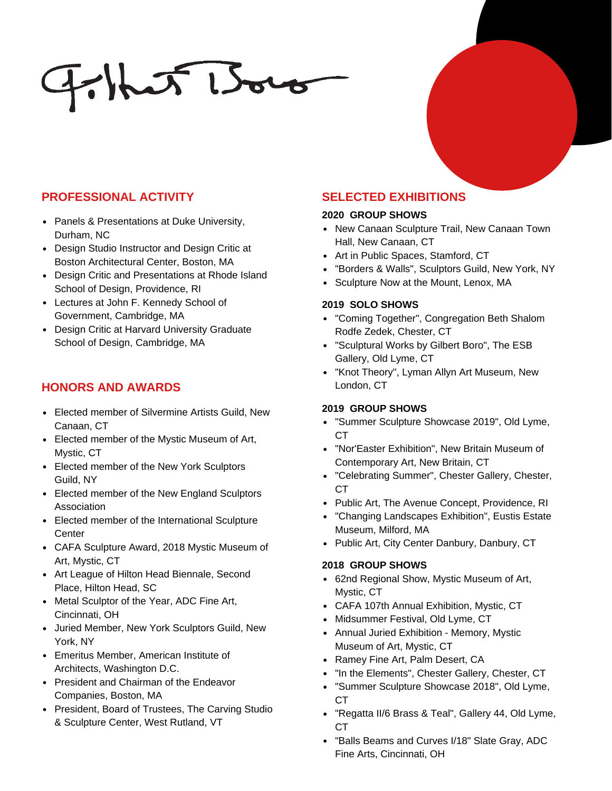# $F$ hat Boro

# **PROFESSIONAL ACTIVITY**

- Panels & Presentations at Duke University, Durham, NC
- Design Studio Instructor and Design Critic at Boston Architectural Center, Boston, MA
- Design Critic and Presentations at Rhode Island School of Design, Providence, RI
- Lectures at John F. Kennedy School of Government, Cambridge, MA
- Design Critic at Harvard University Graduate School of Design, Cambridge, MA

# **HONORS AND AWARDS**

- Elected member of Silvermine Artists Guild, New Canaan, CT
- Elected member of the Mystic Museum of Art, Mystic, CT
- Elected member of the New York Sculptors Guild, NY
- Elected member of the New England Sculptors Association
- Elected member of the International Sculpture **Center**
- CAFA Sculpture Award, 2018 Mystic Museum of Art, Mystic, CT
- Art League of Hilton Head Biennale, Second Place, Hilton Head, SC
- Metal Sculptor of the Year, ADC Fine Art, Cincinnati, OH
- Juried Member, New York Sculptors Guild, New York, NY
- Emeritus Member, American Institute of Architects, Washington D.C.
- President and Chairman of the Endeavor Companies, Boston, MA
- President, Board of Trustees, The Carving Studio & Sculpture Center, West Rutland, VT

# **SELECTED EXHIBITIONS**

#### **2020 GROUP SHOWS**

- New Canaan Sculpture Trail, New Canaan Town Hall, New Canaan, CT
- Art in Public Spaces, Stamford, CT
- "Borders & Walls", Sculptors Guild, New York, NY
- Sculpture Now at the Mount, Lenox, MA

#### **2019 SOLO SHOWS**

- "Coming Together", Congregation Beth Shalom Rodfe Zedek, Chester, CT
- "Sculptural Works by Gilbert Boro", The ESB Gallery, Old Lyme, CT
- "Knot Theory", Lyman Allyn Art Museum, New London, CT

### **2019 GROUP SHOWS**

- "Summer Sculpture Showcase 2019", Old Lyme, CT
- "Nor'Easter Exhibition", New Britain Museum of Contemporary Art, New Britain, CT
- "Celebrating Summer", Chester Gallery, Chester, CT
- Public Art, The Avenue Concept, Providence, RI
- "Changing Landscapes Exhibition", Eustis Estate Museum, Milford, MA
- Public Art, City Center Danbury, Danbury, CT

#### **2018 GROUP SHOWS**

- 62nd Regional Show, Mystic Museum of Art, Mystic, CT
- CAFA 107th Annual Exhibition, Mystic, CT
- Midsummer Festival, Old Lyme, CT
- Annual Juried Exhibition Memory, Mystic Museum of Art, Mystic, CT
- Ramey Fine Art, Palm Desert, CA
- "In the Elements", Chester Gallery, Chester, CT
- "Summer Sculpture Showcase 2018", Old Lyme, CT
- "Regatta II/6 Brass & Teal", Gallery 44, Old Lyme, CT
- "Balls Beams and Curves I/18" Slate Gray, ADC Fine Arts, Cincinnati, OH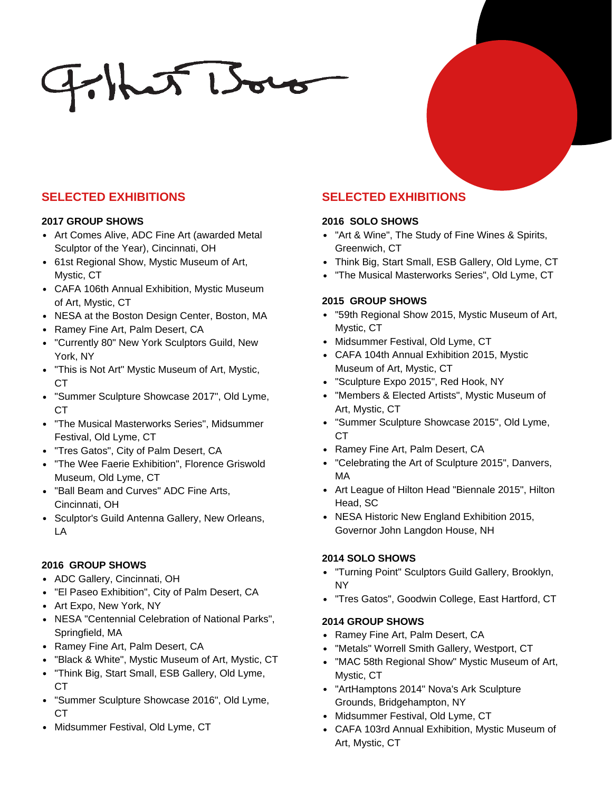# $F$ hit Boro

## **SELECTED EXHIBITIONS**

#### **2017 GROUP SHOWS**

- Art Comes Alive, ADC Fine Art (awarded Metal Sculptor of the Year), Cincinnati, OH
- 61st Regional Show, Mystic Museum of Art, Mystic, CT
- CAFA 106th Annual Exhibition, Mystic Museum of Art, Mystic, CT
- NESA at the Boston Design Center, Boston, MA
- Ramey Fine Art, Palm Desert, CA
- "Currently 80" New York Sculptors Guild, New York, NY
- "This is Not Art" Mystic Museum of Art, Mystic, CT
- "Summer Sculpture Showcase 2017", Old Lyme, CT
- "The Musical Masterworks Series", Midsummer Festival, Old Lyme, CT
- "Tres Gatos", City of Palm Desert, CA
- "The Wee Faerie Exhibition", Florence Griswold Museum, Old Lyme, CT
- "Ball Beam and Curves" ADC Fine Arts, Cincinnati, OH
- Sculptor's Guild Antenna Gallery, New Orleans, LA

### **2016 GROUP SHOWS**

- ADC Gallery, Cincinnati, OH
- "El Paseo Exhibition", City of Palm Desert, CA
- Art Expo, New York, NY
- NESA "Centennial Celebration of National Parks", Springfield, MA
- Ramey Fine Art, Palm Desert, CA
- "Black & White", Mystic Museum of Art, Mystic, CT
- "Think Big, Start Small, ESB Gallery, Old Lyme, CT
- "Summer Sculpture Showcase 2016", Old Lyme, CT
- Midsummer Festival, Old Lyme, CT

# **SELECTED EXHIBITIONS**

#### **2016 SOLO SHOWS**

- "Art & Wine", The Study of Fine Wines & Spirits, Greenwich, CT
- Think Big, Start Small, ESB Gallery, Old Lyme, CT
- "The Musical Masterworks Series", Old Lyme, CT

#### **2015 GROUP SHOWS**

- "59th Regional Show 2015, Mystic Museum of Art, Mystic, CT
- Midsummer Festival, Old Lyme, CT
- CAFA 104th Annual Exhibition 2015, Mystic Museum of Art, Mystic, CT
- "Sculpture Expo 2015", Red Hook, NY
- "Members & Elected Artists", Mystic Museum of Art, Mystic, CT
- "Summer Sculpture Showcase 2015", Old Lyme, CT
- Ramey Fine Art, Palm Desert, CA
- "Celebrating the Art of Sculpture 2015", Danvers, MA
- Art League of Hilton Head "Biennale 2015", Hilton Head, SC
- NESA Historic New England Exhibition 2015, Governor John Langdon House, NH

### **2014 SOLO SHOWS**

- "Turning Point" Sculptors Guild Gallery, Brooklyn, NY
- "Tres Gatos", Goodwin College, East Hartford, CT

### **2014 GROUP SHOWS**

- Ramey Fine Art, Palm Desert, CA
- "Metals" Worrell Smith Gallery, Westport, CT
- "MAC 58th Regional Show" Mystic Museum of Art, Mystic, CT
- "ArtHamptons 2014" Nova's Ark Sculpture Grounds, Bridgehampton, NY
- Midsummer Festival, Old Lyme, CT
- CAFA 103rd Annual Exhibition, Mystic Museum of Art, Mystic, CT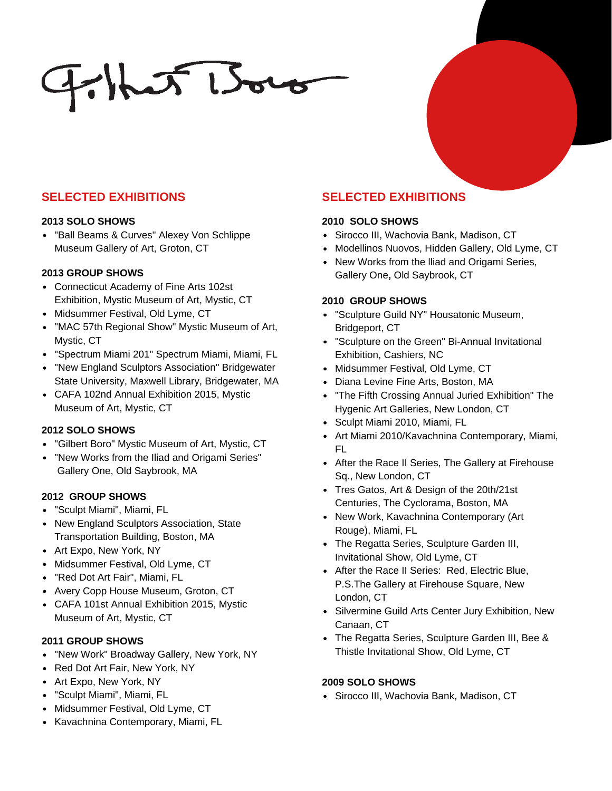# $F$ hat Boro

### **SELECTED EXHIBITIONS**

#### **2013 SOLO SHOWS**

"Ball Beams & Curves" Alexey Von Schlippe Museum Gallery of Art, Groton, CT

#### **2013 GROUP SHOWS**

- Connecticut Academy of Fine Arts 102st Exhibition, Mystic Museum of Art, Mystic, CT
- Midsummer Festival, Old Lyme, CT
- "MAC 57th Regional Show" Mystic Museum of Art, Mystic, CT
- "Spectrum Miami 201" Spectrum Miami, Miami, FL
- "New England Sculptors Association" Bridgewater State University, Maxwell Library, Bridgewater, MA
- CAFA 102nd Annual Exhibition 2015, Mystic Museum of Art, Mystic, CT

#### **2012 SOLO SHOWS**

- "Gilbert Boro" Mystic Museum of Art, Mystic, CT
- "New Works from the Iliad and Origami Series" Gallery One, Old Saybrook, MA

#### **2012 GROUP SHOWS**

- "Sculpt Miami", Miami, FL
- New England Sculptors Association, State Transportation Building, Boston, MA
- Art Expo, New York, NY
- Midsummer Festival, Old Lyme, CT
- "Red Dot Art Fair", Miami, FL
- Avery Copp House Museum, Groton, CT
- CAFA 101st Annual Exhibition 2015, Mystic Museum of Art, Mystic, CT

#### **2011 GROUP SHOWS**

- "New Work" Broadway Gallery, New York, NY
- Red Dot Art Fair, New York, NY
- Art Expo, New York, NY
- "Sculpt Miami", Miami, FL
- Midsummer Festival, Old Lyme, CT
- Kavachnina Contemporary, Miami, FL

# **SELECTED EXHIBITIONS**

#### **2010 SOLO SHOWS**

- Sirocco III, Wachovia Bank, Madison, CT
- Modellinos Nuovos, Hidden Gallery, Old Lyme, CT
- New Works from the Iliad and Origami Series, Gallery One**,** Old Saybrook, CT

#### **2010 GROUP SHOWS**

- "Sculpture Guild NY" Housatonic Museum, Bridgeport, CT
- "Sculpture on the Green" Bi-Annual Invitational Exhibition, Cashiers, NC
- Midsummer Festival, Old Lyme, CT
- Diana Levine Fine Arts, Boston, MA
- "The Fifth Crossing Annual Juried Exhibition" The Hygenic Art Galleries, New London, CT
- Sculpt Miami 2010, Miami, FL
- Art Miami 2010/Kavachnina Contemporary, Miami, FL
- After the Race II Series, The Gallery at Firehouse Sq., New London, CT
- Tres Gatos, Art & Design of the 20th/21st Centuries, The Cyclorama, Boston, MA
- New Work, Kavachnina Contemporary (Art Rouge), Miami, FL
- The Regatta Series, Sculpture Garden III, Invitational Show, Old Lyme, CT
- After the Race II Series: Red, Electric Blue, P.S.The Gallery at Firehouse Square, New London, CT
- Silvermine Guild Arts Center Jury Exhibition, New Canaan, CT
- The Regatta Series, Sculpture Garden III, Bee & Thistle Invitational Show, Old Lyme, CT

#### **2009 SOLO SHOWS**

• Sirocco III, Wachovia Bank, Madison, CT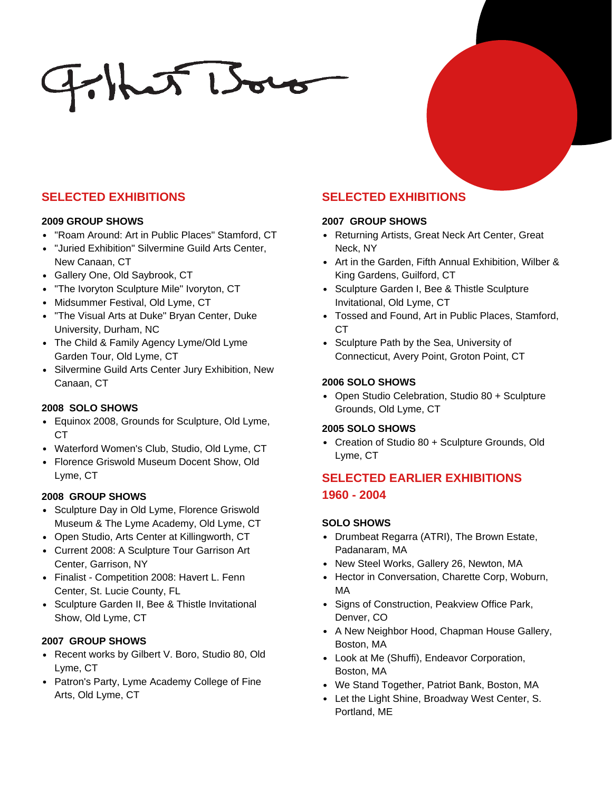# $F$ hat Boro

## **SELECTED EXHIBITIONS SELECTED EXHIBITIONS**

#### **2009 GROUP SHOWS**

- "Roam Around: Art in Public Places" Stamford, CT
- "Juried Exhibition" Silvermine Guild Arts Center, New Canaan, CT
- Gallery One, Old Saybrook, CT
- "The Ivoryton Sculpture Mile" Ivoryton, CT
- Midsummer Festival, Old Lyme, CT
- "The Visual Arts at Duke" Bryan Center, Duke University, Durham, NC
- The Child & Family Agency Lyme/Old Lyme Garden Tour, Old Lyme, CT
- Silvermine Guild Arts Center Jury Exhibition, New Canaan, CT

### **2008 SOLO SHOWS**

- Equinox 2008, Grounds for Sculpture, Old Lyme, CT
- Waterford Women's Club, Studio, Old Lyme, CT
- Florence Griswold Museum Docent Show, Old Lyme, CT

#### **2008 GROUP SHOWS**

- Sculpture Day in Old Lyme, Florence Griswold Museum & The Lyme Academy, Old Lyme, CT
- Open Studio, Arts Center at Killingworth, CT
- Current 2008: A Sculpture Tour Garrison Art Center, Garrison, NY
- Finalist Competition 2008: Havert L. Fenn Center, St. Lucie County, FL
- Sculpture Garden II, Bee & Thistle Invitational Show, Old Lyme, CT

### **2007 GROUP SHOWS**

- Recent works by Gilbert V. Boro, Studio 80, Old Lyme, CT
- Patron's Party, Lyme Academy College of Fine Arts, Old Lyme, CT

#### **2007 GROUP SHOWS**

- Returning Artists, Great Neck Art Center, Great Neck, NY
- Art in the Garden, Fifth Annual Exhibition, Wilber & King Gardens, Guilford, CT
- Sculpture Garden I, Bee & Thistle Sculpture Invitational, Old Lyme, CT
- Tossed and Found, Art in Public Places, Stamford, CT
- Sculpture Path by the Sea, University of Connecticut, Avery Point, Groton Point, CT

#### **2006 SOLO SHOWS**

• Open Studio Celebration, Studio 80 + Sculpture Grounds, Old Lyme, CT

#### **2005 SOLO SHOWS**

Creation of Studio 80 + Sculpture Grounds, Old Lyme, CT

# **SELECTED EARLIER EXHIBITIONS 1960 - 2004**

### **SOLO SHOWS**

- Drumbeat Regarra (ATRI), The Brown Estate, Padanaram, MA
- New Steel Works, Gallery 26, Newton, MA
- Hector in Conversation, Charette Corp, Woburn, MA
- Signs of Construction, Peakview Office Park, Denver, CO
- A New Neighbor Hood, Chapman House Gallery, Boston, MA
- Look at Me (Shuffi), Endeavor Corporation, Boston, MA
- We Stand Together, Patriot Bank, Boston, MA
- Let the Light Shine, Broadway West Center, S. Portland, ME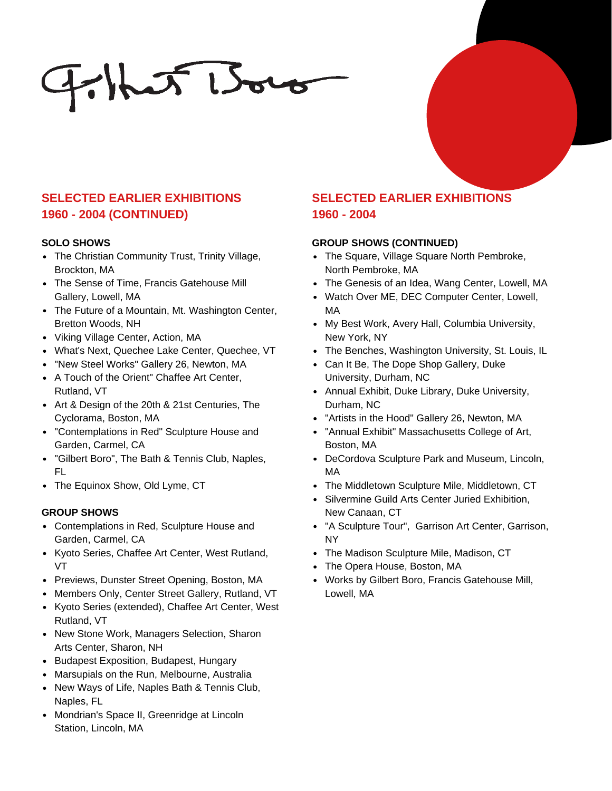$F$ hat Boro

# **SELECTED EARLIER EXHIBITIONS 1960 - 2004 (CONTINUED)**

#### **SOLO SHOWS**

- The Christian Community Trust, Trinity Village, Brockton, MA
- The Sense of Time, Francis Gatehouse Mill Gallery, Lowell, MA
- The Future of a Mountain, Mt. Washington Center, Bretton Woods, NH
- Viking Village Center, Action, MA
- What's Next, Quechee Lake Center, Quechee, VT
- "New Steel Works" Gallery 26, Newton, MA
- A Touch of the Orient" Chaffee Art Center, Rutland, VT
- Art & Design of the 20th & 21st Centuries, The Cyclorama, Boston, MA
- "Contemplations in Red" Sculpture House and Garden, Carmel, CA
- "Gilbert Boro", The Bath & Tennis Club, Naples, FL
- The Equinox Show, Old Lyme, CT

#### **GROUP SHOWS**

- Contemplations in Red, Sculpture House and Garden, Carmel, CA
- Kyoto Series, Chaffee Art Center, West Rutland, VT
- Previews, Dunster Street Opening, Boston, MA
- Members Only, Center Street Gallery, Rutland, VT
- Kyoto Series (extended), Chaffee Art Center, West Rutland, VT
- New Stone Work, Managers Selection, Sharon Arts Center, Sharon, NH
- Budapest Exposition, Budapest, Hungary
- Marsupials on the Run, Melbourne, Australia
- New Ways of Life, Naples Bath & Tennis Club, Naples, FL
- Mondrian's Space II, Greenridge at Lincoln Station, Lincoln, MA

# **SELECTED EARLIER EXHIBITIONS 1960 - 2004**

#### **GROUP SHOWS (CONTINUED)**

- The Square, Village Square North Pembroke, North Pembroke, MA
- The Genesis of an Idea, Wang Center, Lowell, MA
- Watch Over ME, DEC Computer Center, Lowell, MA
- My Best Work, Avery Hall, Columbia University, New York, NY
- The Benches, Washington University, St. Louis, IL
- Can It Be, The Dope Shop Gallery, Duke University, Durham, NC
- Annual Exhibit, Duke Library, Duke University, Durham, NC
- "Artists in the Hood" Gallery 26, Newton, MA
- "Annual Exhibit" Massachusetts College of Art, Boston, MA
- DeCordova Sculpture Park and Museum, Lincoln, MA
- The Middletown Sculpture Mile, Middletown, CT
- Silvermine Guild Arts Center Juried Exhibition, New Canaan, CT
- "A Sculpture Tour", Garrison Art Center, Garrison, NY
- The Madison Sculpture Mile, Madison, CT
- The Opera House, Boston, MA
- Works by Gilbert Boro, Francis Gatehouse Mill, Lowell, MA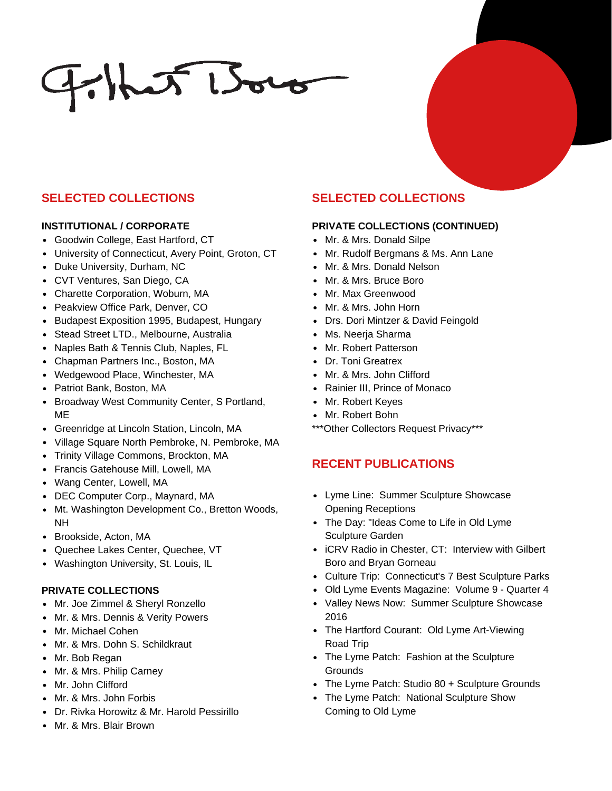# $F$ hut Boro

## **SELECTED COLLECTIONS**

#### **INSTITUTIONAL / CORPORATE**

- Goodwin College, East Hartford, CT
- University of Connecticut, Avery Point, Groton, CT
- Duke University, Durham, NC
- CVT Ventures, San Diego, CA
- Charette Corporation, Woburn, MA
- Peakview Office Park, Denver, CO
- Budapest Exposition 1995, Budapest, Hungary
- Stead Street LTD., Melbourne, Australia
- Naples Bath & Tennis Club, Naples, FL
- Chapman Partners Inc., Boston, MA
- Wedgewood Place, Winchester, MA
- Patriot Bank, Boston, MA
- Broadway West Community Center, S Portland, ME
- Greenridge at Lincoln Station, Lincoln, MA
- Village Square North Pembroke, N. Pembroke, MA
- Trinity Village Commons, Brockton, MA
- Francis Gatehouse Mill, Lowell, MA
- Wang Center, Lowell, MA
- DEC Computer Corp., Maynard, MA
- Mt. Washington Development Co., Bretton Woods, NH
- Brookside, Acton, MA
- Quechee Lakes Center, Quechee, VT
- Washington University, St. Louis, IL

### **PRIVATE COLLECTIONS**

- Mr. Joe Zimmel & Sheryl Ronzello
- Mr. & Mrs. Dennis & Verity Powers
- Mr. Michael Cohen
- Mr. & Mrs. Dohn S. Schildkraut
- Mr. Bob Regan
- Mr. & Mrs. Philip Carney
- Mr. John Clifford
- Mr. & Mrs. John Forbis
- Dr. Rivka Horowitz & Mr. Harold Pessirillo
- Mr. & Mrs. Blair Brown

# **SELECTED COLLECTIONS**

#### **PRIVATE COLLECTIONS (CONTINUED)**

- Mr. & Mrs. Donald Silpe
- Mr. Rudolf Bergmans & Ms. Ann Lane
- Mr. & Mrs. Donald Nelson
- Mr. & Mrs. Bruce Boro
- Mr. Max Greenwood
- Mr. & Mrs. John Horn
- Drs. Dori Mintzer & David Feingold
- Ms. Neerja Sharma
- Mr. Robert Patterson
- Dr. Toni Greatrex
- Mr. & Mrs. John Clifford
- Rainier III, Prince of Monaco
- Mr. Robert Keyes
- Mr. Robert Bohn
- \*\*\*Other Collectors Request Privacy\*\*\*

### **RECENT PUBLICATIONS**

- Lyme Line: Summer Sculpture Showcase Opening Receptions
- The Day: "Ideas Come to Life in Old Lyme Sculpture Garden
- iCRV Radio in Chester, CT: Interview with Gilbert Boro and Bryan Gorneau
- Culture Trip: Connecticut's 7 Best Sculpture Parks
- Old Lyme Events Magazine: Volume 9 Quarter 4
- Valley News Now: Summer Sculpture Showcase 2016
- The Hartford Courant: Old Lyme Art-Viewing Road Trip
- The Lyme Patch: Fashion at the Sculpture **Grounds**
- The Lyme Patch: Studio 80 + Sculpture Grounds
- The Lyme Patch: National Sculpture Show Coming to Old Lyme